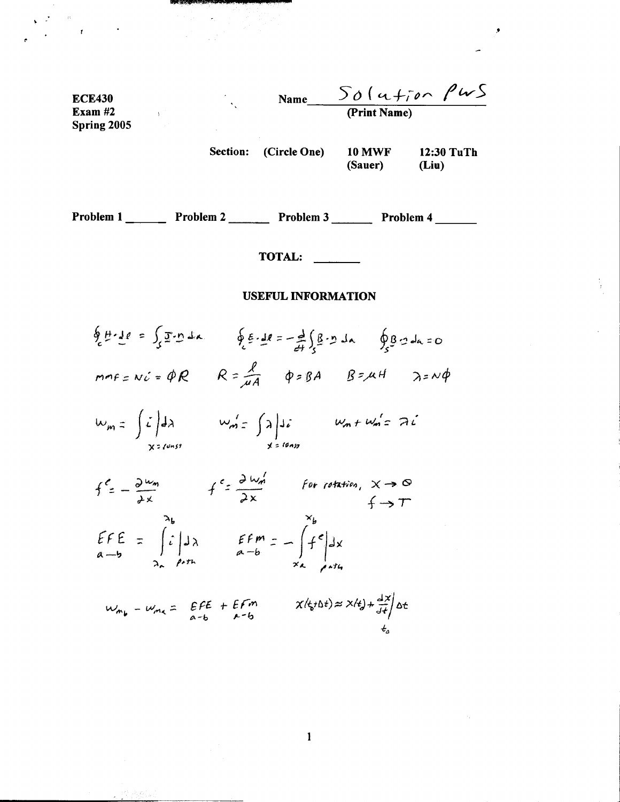ECE430  
\nExam #2  
\nSpring 2005  
\nSpring 2005  
\nSection: (Circle One) 10 MWF 12:30 Turf  
\n(Square) (Line)  
\nProblem 1 \_\_\_\_\_\_\_ Problem 2 \_\_\_\_\_\_\_ Problem 3 \_\_\_\_\_\_\_ Problem 4 \_\_\_\_\_\_\_  
\nTOTAL: \_\_\_\_\_\_\_  
\nUSEFUL INFORMATION  
\n
$$
\oint_{c} \frac{\mu \cdot 1}{2} e = \int_{c} \frac{\pi \cdot n}{2} dx \qquad \oint_{c} \frac{\pi \cdot 1}{2} e = -\frac{1}{24} \int_{c} \frac{\pi \cdot n}{2} dx \qquad \oint_{c} \frac{\pi \cdot 1}{2} dx = 0
$$
\n
$$
m n f = N c \cdot \pi \oint_{C} R = \frac{f}{\pi A} \qquad \oint_{C} \frac{\pi \cdot 1}{2} dx \qquad \oint_{C} \frac{\pi \cdot 1}{2} dx = 0
$$
\n
$$
m n f = \int_{x = 0}^{1} \frac{1}{2} dx \qquad W_{n1} = \int_{x = 0}^{1} \frac{1}{2} dx \qquad W_{n2} + W_{n2} = 2i
$$
\n
$$
= \int_{x = 0}^{1} \frac{1}{2} dx \qquad \text{for the ratio, } X \rightarrow 0
$$
\n
$$
= \int_{x = 0}^{1} \frac{1}{2} dx \qquad \text{for the ratio, } X \rightarrow 0
$$
\n
$$
= \int_{x = 0}^{1} \frac{1}{2} dx \qquad \text{for the ratio, } X \rightarrow 0
$$
\n
$$
= \int_{x = 0}^{1} \frac{1}{2} dx \qquad \text{for the ratio, } X \rightarrow 0
$$
\n
$$
= \int_{x = 0}^{1} \frac{1}{2} dx \qquad \text{for the ratio, } X \rightarrow 0
$$
\n
$$
= \int_{x = 0}^{1} \frac{1}{2} dx \qquad \text{for the ratio, } X \rightarrow 0
$$
\n
$$
= \int_{x = 0}^{1} \frac{1}{2} dx \qquad \text{for the ratio, } X \rightarrow 0
$$
\n
$$
= \int_{x = 0}^{1} \frac{1}{2} dx \qquad \text{for the ratio, } X \rightarrow 0
$$
\n
$$
= \int_{x = 0}^{1} \frac
$$

×

 $\alpha_{\rm{max}}$ 

がみあし

 $\mathbf{1}$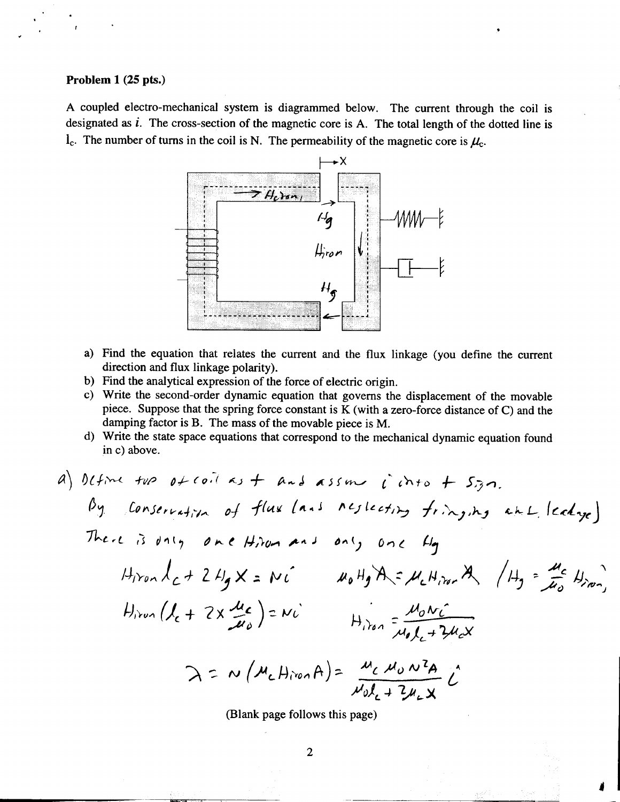## Problem 1 (25 pts.)

.

.

"

A coupled electro-mechanical system is diagrammed below. The current through the coil is designated as  $i$ . The cross-section of the magnetic core is A. The total length of the dotted line is  $l_c$ . The number of turns in the coil is N. The permeability of the magnetic core is  $\mu_c$ .

r .



- a) Find the equation that relates the current and the flux linkage (you define the current direction and flux linkage polarity).
- b) Find the analytical expression of the force of electric origin.
- c) Write the second-order dynamic equation that governs the displacement of the movable piece. Suppose that the spring force constant is K (with a zero-force distance of C) and the damping factor is B. The mass of the movable piece is M.
- d) Write the state space equations that correspond to the mechanical dynamic equation found in c) above.

a) Define two of coil as 
$$
+
$$
 and assume  $i$  into  $+$  sign.  
\nBy conservation of flux (ans Neglecting frixy,ny ahl ledye)  
\nThen  $l_{c} + 2H_{g}X = Ni$  and  $H_{g}H_{g}A = M_{c}H_{irm}A$ ,  $(H_{g} = \frac{M_{c}}{H_{o}}H_{irm})$   
\n $H_{irm}(l_{c} + 2X \frac{u_{c}}{H_{o}}) = Ni$   $H_{irm} = \frac{M_{o}Ni}{M_{g}l_{c} + 2H_{c}X}$   
\n $\lambda = N(M_{c}H_{irm}A) = \frac{M_{c}M_{o}N^{2}}{M_{g}l_{c} + 2H_{c}X}$   
\n $\lambda = N(M_{c}H_{irm}A) = \frac{M_{c}M_{o}N^{2}A}{M_{g}l_{c} + 2H_{c}X}$ 

(Blank page follows this page)

-.,~'o , --"..

I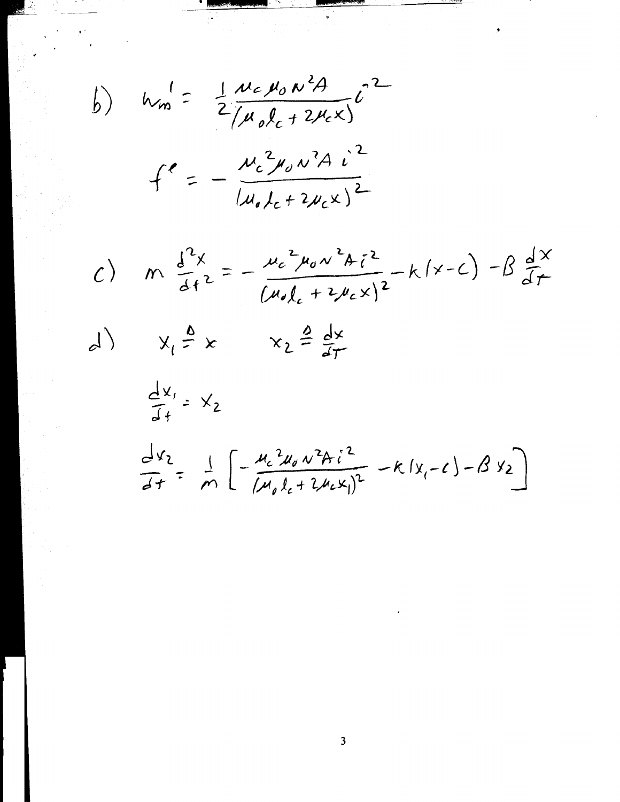b) 
$$
h_{m}^{1} = \frac{1}{2} \frac{\mu_{c} \mu_{o} \mu^{2} A}{(\mu_{o} \ell_{c} + 2 \mu_{c} x)} \epsilon^{2}
$$

$$
f^{\ell} = -\frac{\mu_{c}^{2} \mu_{o} \mu^{2} A \mu^{2}}{(\mu_{o} \ell_{c} + 2 \mu_{c} x)^{2}}
$$

ti<br>M

c) 
$$
m \frac{d^{2}x}{dt^{2}} = -\frac{\mu_{c}^{2}\mu_{0}v^{2}A_{i}^{2}}{(\mu_{0}l_{c}+2\mu_{c}x)^{2}} - k(x-c) - \beta \frac{d^{2}x}{dt}
$$
  
d) 
$$
x_{1} \stackrel{\Delta}{=} x \qquad x_{2} \stackrel{\Delta}{=} \frac{dx}{dt}
$$

$$
\frac{dx}{dt} = x_{2}
$$

$$
\frac{d^{2}x_{2}}{dt^{2}} = \frac{1}{m} \left[ -\frac{\mu_{c}^{2}u_{0}v^{2}A_{i}^{2}}{(\mu_{0}l_{c}+2\mu_{c}x_{i})^{2}} - k(x_{i}-c) - \beta x_{2} \right]
$$

 $\frac{1}{2}$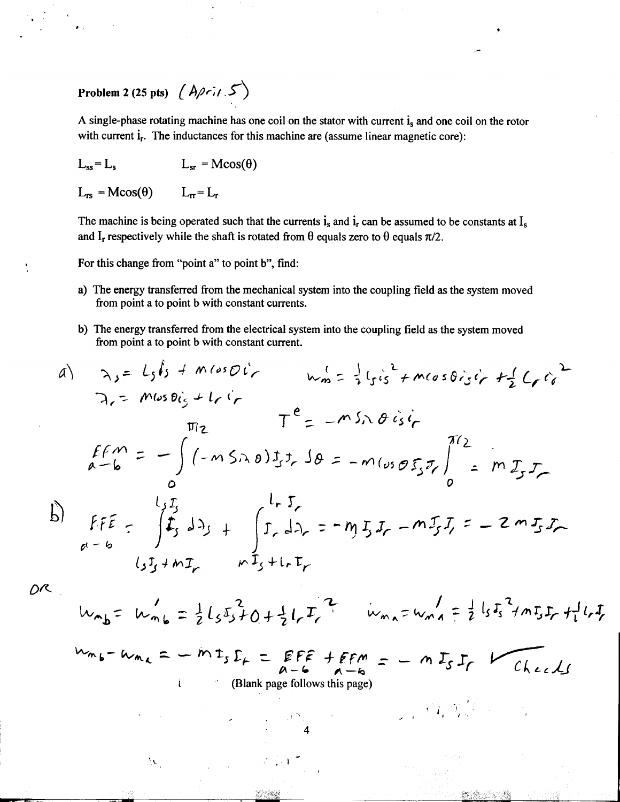## Problem 2 (25 pts)  $(A\rho r_1 / 5)$

A single-phase rotating machine has one coil on the stator with current  $i_s$  and one coil on the rotor with current i<sub>r</sub>. The inductances for this machine are (assume linear magnetic core):

-

I

$$
L_{ss} = L_s \qquad L_{sr} = M\cos(\theta)
$$

 $L_{rs} = Mcos(\theta)$   $L_{rr} = L_r$ 

 $\mathcal{N}$ 

The machine is being operated such that the currents  $i_s$  and  $i_r$  can be assumed to be constants at  $I_s$ and I<sub>r</sub> respectively while the shaft is rotated from  $\theta$  equals zero to  $\theta$  equals  $\pi/2$ .

For this change from "point a" to point b", find:

- a) The energy transferred from the mechanical system into the coupling field as the system moved from point a to point b with constant currents.
- b) The energy transferred from the electrical system into the coupling field as the system moved from point a to point b with constant current.

a) 
$$
\lambda_{j} = L_{j}l_{j} + m(\omega_{5}Dl_{r}^{2})
$$
  
\n $\lambda_{r} = m\omega_{5}Dl_{j} + L_{r}l_{r}^{2}$   
\n $\pi_{1} = m\omega_{5}Dl_{j} + L_{r}l_{r}^{2}$   
\n $\pi_{2} = m\omega_{5}\lambda_{0}J_{j}J_{r}\Omega_{r} = -m\omega_{5}\lambda_{0}J_{s}l_{r}^{2}$   
\n $\lambda_{r} = m\mu_{2}T_{r}^{2}$   
\n $\lambda_{r} = m\mu_{2}T_{r}^{2}$   
\n $\lambda_{r} = m\mu_{2}T_{r}^{2}$   
\n $\lambda_{r} = m\mu_{2}T_{r}^{2}$   
\n $\lambda_{r} = m\mu_{2}T_{r}^{2}$   
\n $\lambda_{r} = m\mu_{2}T_{r}^{2}$   
\n $\lambda_{r} = m\mu_{2}T_{r}^{2}$   
\n $\lambda_{r} = m\mu_{2}T_{r}^{2}$   
\n $\lambda_{r} = m\mu_{2}T_{r}^{2}$   
\n $\lambda_{r} = m\mu_{2}T_{r}^{2}$   
\n $\lambda_{r} = m\mu_{2}T_{r}^{2}$ 

 $O^{\mathcal{R}}$ 

.

..

$$
w_{mb} = w_{mb} = \frac{1}{2}l_5s_3f_0 + \frac{1}{2}l_rT_t^2
$$
  $w_{ma} = w_{ma} = \frac{1}{2}l_5s_3f_mT_sF_r + l_rI_r$ 

 $\mathcal{L} \subset \mathcal{L}$  , where  $\mathcal{L} \subset \mathcal{L}$  is the set of  $\mathcal{L} \subset \mathcal{L}$  ,  $\mathcal{L} \subset \mathcal{L}$ 

$$
W_{m,b}-W_{m,c}=-\dot{m}t_s\mathcal{L}_+=\mathsf{EFE}+\mathsf{EFM}=-m\mathcal{L}_S\mathcal{L}_r
$$

4

 $\mathcal{L}_{\rm eff} = \mathcal{L}_{\rm eff} = \mathcal{L}_{\rm eff} = \mathcal{L}_{\rm eff} = \mathcal{L}_{\rm eff} = \mathcal{L}_{\rm eff} = \mathcal{L}_{\rm eff}$ 

,~

 $\mathbb{R}^n \times \mathbb{C}$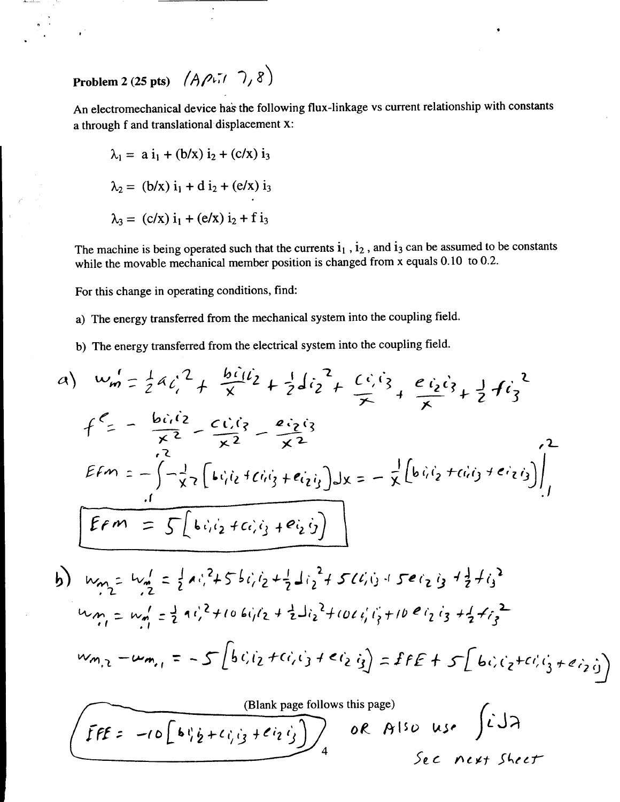Problem 2 (25 pts)  $(A\rho\sqrt{11})$ 

An electromechanical device has the following flux-linkage vs current relationship with constants a through f and translational displacement x:

$$
\lambda_1 = a i_1 + (b/x) i_2 + (c/x) i_3
$$
  
\n
$$
\lambda_2 = (b/x) i_1 + d i_2 + (e/x) i_3
$$
  
\n
$$
\lambda_3 = (c/x) i_1 + (e/x) i_2 + f i_3
$$

The machine is being operated such that the currents  $i_1$ ,  $i_2$ , and  $i_3$  can be assumed to be constants while the movable mechanical member position is changed from x equals 0.10 to 0.2.

For this change in operating conditions, find:

a) The energy transferred from the mechanical system into the coupling field.

b) The energy transferred from the electrical system into the coupling field.

a) 
$$
w_m' = \frac{1}{2}a_1^2 + \frac{bi_1i_2}{x} + \frac{1}{2}di_2^2 + \frac{ci_1i_3}{x} + \frac{ei_2i_3}{x} + \frac{1}{2}fi_3^2
$$
  
\n $f = -\frac{bi_1i_2}{x^2} - \frac{ci_1i_3}{x^2} - \frac{e_2i_3}{x^2}$   
\n $z = -\frac{1}{2}i_2\left[Li_1i_2+Li_1i_3+ei_2i_3\right]dx = -\frac{1}{2}\left[bi_1i_2+di_3+ei_2i_3\right]\Big|_1^2$   
\n $f = m = -\int -\frac{1}{2}i\left[Li_1i_2+Li_1i_3+ei_2i_3\right]dx = -\frac{1}{2}\left[bi_1i_2+di_3+ei_2i_3\right]\Big|_1^2$   
\n $w_{m_1} = w_{m_1}' = \frac{1}{2}ai_1^2+5bi_1i_2+\frac{1}{2}ai_2^2+5li_3+5ei_3+5ei_3+\frac{1}{2}bi_3^2$   
\n $w_{m_1} = w_{m_1}' = -5\left[bi_1i_2+ci_2i_3+ei_2i_3\right] = 5FE + 5\left[bi_1i_2+ci_3+ei_3\right]$   
\n $w_{m_1} = w_{m_1}' = -5\left[bi_1i_2+ci_1i_3+ei_2i_3\right] = 5FE + 5\left[bi_1i_2+ci_1i_3+ei_2\right]$ 

(Blank page follows this page)  
\n
$$
\frac{\text{(Blank page follows this page)}}{4}
$$
\n0 R A150 use  
\n
$$
\int \vec{L} d\vec{\lambda}
$$
\n
$$
\int \vec{L} d\vec{\lambda}
$$
\n
$$
\int \vec{L} d\vec{\lambda}
$$
\n
$$
\int \vec{L} d\vec{\lambda}
$$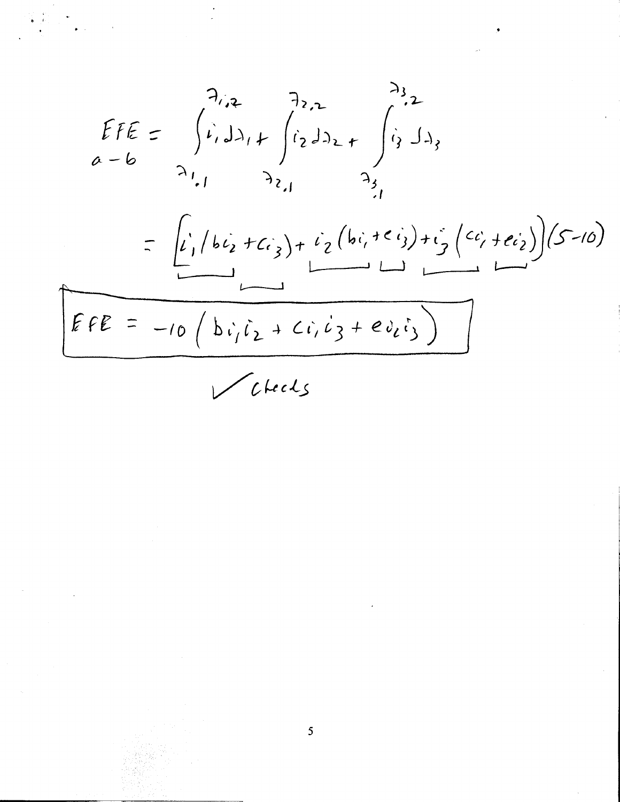$$
EFE = \int_{a-b}^{a} \int_{a}^{a} \int_{a}^{b} \int_{c}^{c} \int_{c}^{d} \int_{c}^{d} f_{c} dA_{c} + \int_{a}^{d} \int_{c}^{c} \int_{c}^{d} f_{c} dA_{s}
$$
\n
$$
= \frac{\int_{c}^{c} \int_{c}^{c} \int_{c}^{c} \int_{c}^{d} f_{c}^{d} \int_{c}^{d} f_{c}^{d} \int_{c}^{d} f_{c}^{d} \int_{c}^{d} f_{c}^{d} \int_{c}^{d} f_{c}^{d} \int_{c}^{d} f_{c}^{d} \int_{c}^{d} f_{c}^{d} \int_{c}^{d} f_{c}^{d} \int_{c}^{d} f_{c}^{d} \int_{c}^{d} f_{c}^{d} \int_{c}^{d} f_{c}^{d} \int_{c}^{d} f_{c}^{d} \int_{c}^{d} f_{c}^{d} \int_{c}^{d} f_{c}^{d} \int_{c}^{d} f_{c}^{d} \int_{c}^{d} f_{c}^{d} \int_{c}^{d} f_{c}^{d} \int_{c}^{d} f_{c}^{d} \int_{c}^{d} f_{c}^{d} \int_{c}^{d} f_{c}^{d} \int_{c}^{d} f_{c}^{d} \int_{c}^{d} f_{c}^{d} \int_{c}^{d} f_{c}^{d} \int_{c}^{d} f_{c}^{d} \int_{c}^{d} f_{c}^{d} \int_{c}^{d} f_{c}^{d} \int_{c}^{d} f_{c}^{d} \int_{c}^{d} f_{c}^{d} \int_{c}^{d} f_{c}^{d} \int_{c}^{d} f_{c}^{d} \int_{c}^{d} f_{c}^{d} \int_{c}^{d} f_{c}^{d} \int_{c}^{d} f_{c}^{d} \int_{c}^{d} f_{c}^{d} \int_{c}^{d} f_{c}^{d} \int_{c}^{d} f_{c}^{d} \int_{c}^{d} f_{c}^{d} \int_{c}^{d} f_{c}^{d} \int_{c}^{d} f_{c}^{d} \int_{c}^{d} f_{c}^{d} \int_{c}^{d} f_{c}^{d} \int_{c}^{d} f_{c}^{
$$

Vetects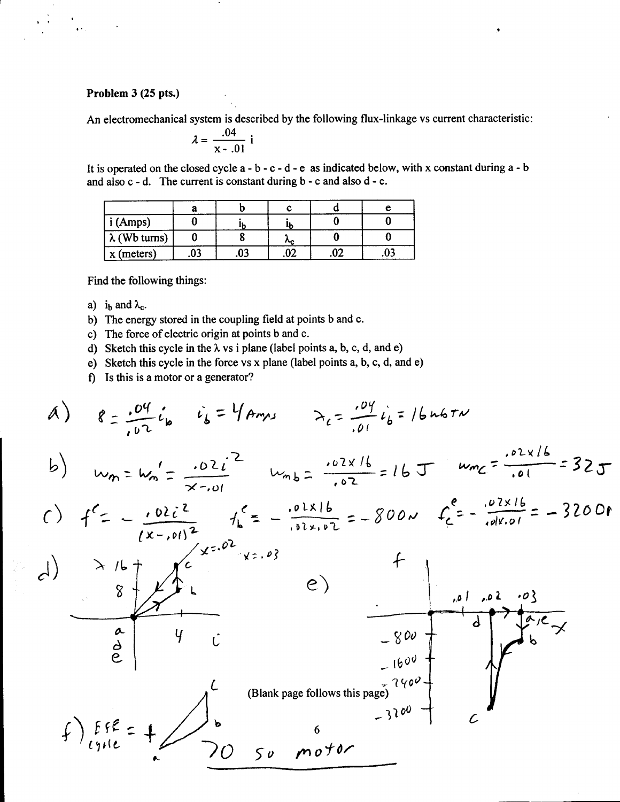## Problem 3 (25 pts.)

 $\frac{1}{2}$  .

, ..

An electromechanical system is described by the following flux-linkage vs current characteristic:

$$
\lambda = \frac{.04}{x-.01} i
$$

It is operated on the closed cycle  $a - b - c - d - e$  as indicated below, with x constant during  $a - b$ and also c - d. The current is constant during b - c and also d - e.

|                      | a  |           |     |     |  |
|----------------------|----|-----------|-----|-----|--|
| (Amps)               |    |           |     |     |  |
| $\lambda$ (Wb turns) |    |           | ∼с  |     |  |
| $x$ (meters)         | 03 | n۹<br>.u. | .v. | .vz |  |

Find the following things:

- a) i<sub>b</sub> and  $\lambda_c$ .
- b) The energy stored in the coupling field at points band c.
- c) The force of electric origin at points band c.
- d) Sketch this cycle in the  $\lambda$  vs i plane (label points a, b, c, d, and e)
- e) Sketch this cycle in the force vs x plane (label points a, b, c, d, and e)
- f) Is this is a motor or a generator?

A) 
$$
g = \frac{.04}{.02}i_{b}
$$
  $i_{b} = 4$   
\nb)  $w_{m} = w_{m} = \frac{.02i^{2}}{x-0!}$   $w_{m} = \frac{.02x}{.02} = 16$   
\nc)  $f^{2} = -\frac{.02i^{2}}{(x-0)!^{2}}$   $h_{m} = \frac{.02x16}{.02} = -800$   $f_{c}^{2} = -\frac{.02x16}{.0100} = -3200$   
\nd)  $\frac{.01x}{(x-0)!^{2}}$   $h_{c}^{2} = -\frac{.02x16}{.02x-0!} = -800$   $f_{c}^{2} = -\frac{.02x16}{.0100} = -3200$   
\nd)  $\frac{.01x}{(x-0)!^{2}} = -3200$   
\n $\frac{.01x}{(x-0)!^{2}} = -3200$   
\n $\frac{.01x}{(x-0)!^{2}} = -3200$   
\n $\frac{.01x}{(x-0)!^{2}}$   
\n $\frac{.01x}{(x-0)!^{2}}$   
\n $\frac{.01x}{(x-0)!^{2}}$   
\n $\frac{.01x}{(x-0)!^{2}}$   
\n $\frac{.01x}{(x-0)!^{2}}$   
\n $\frac{.01x}{(x-0)!^{2}}$   
\n $\frac{.01x}{(x-0)!^{2}}$   
\n $\frac{.01x}{(x-0)!^{2}}$   
\n $\frac{.01x}{(x-0)!^{2}}$   
\n $\frac{.01x}{(x-0)!^{2}}$   
\n $\frac{.01x}{(x-0)!^{2}}$   
\n $\frac{.01x}{(x-0)!^{2}}$   
\n $\frac{.01x}{(x-0)!^{2}}$   
\n $\frac{.01x}{(x-0)!^{2}}$   
\n $\frac{.01x}{(x-0)!^{2}}$   
\n $\frac{.01x}{(x-0)!^{2}}$   
\n $\frac{.01x}{($